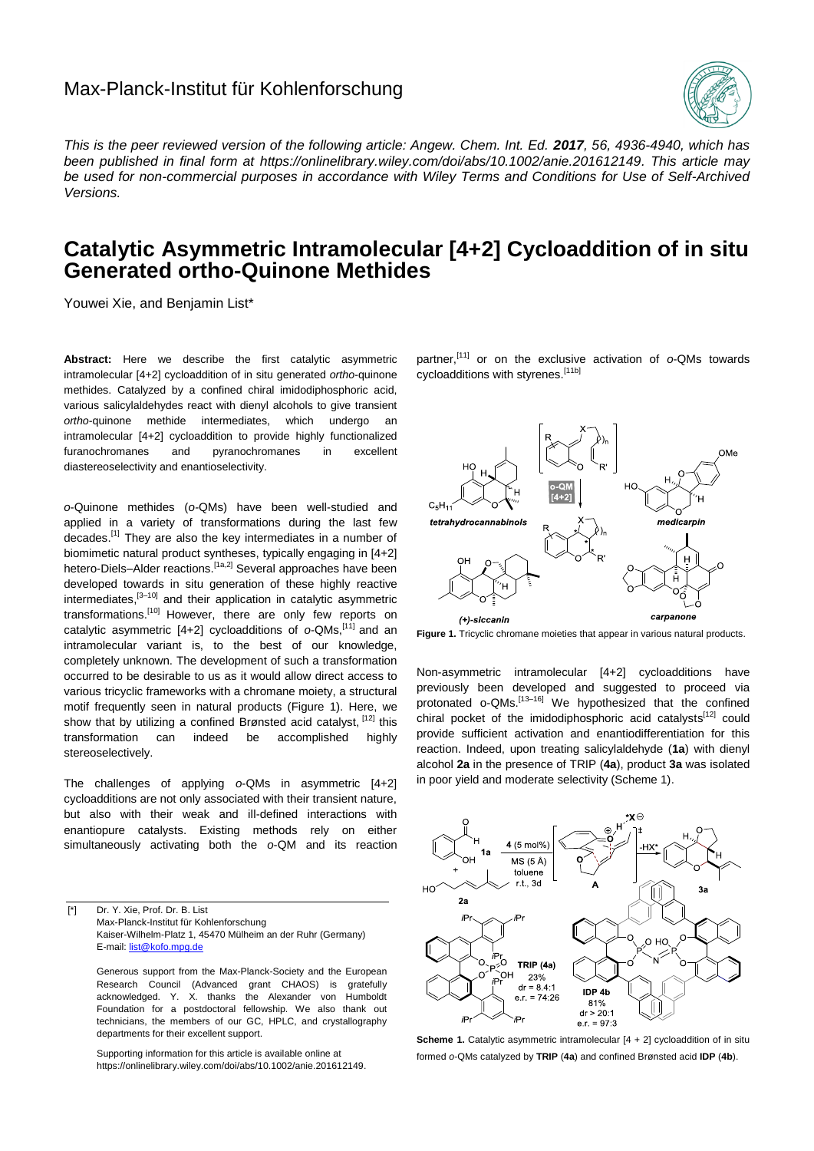## Max-Planck-Institut für Kohlenforschung



*This is the peer reviewed version of the following article: Angew. Chem. Int. Ed. 2017, 56, 4936-4940, which has been published in final form at https://onlinelibrary.wiley.com/doi/abs/10.1002/anie.201612149. This article may be used for non-commercial purposes in accordance with Wiley Terms and Conditions for Use of Self-Archived Versions.*

## **Catalytic Asymmetric Intramolecular [4+2] Cycloaddition of in situ Generated ortho-Quinone Methides**

Youwei Xie, and Benjamin List\*

**Abstract:** Here we describe the first catalytic asymmetric intramolecular [4+2] cycloaddition of in situ generated *ortho*-quinone methides. Catalyzed by a confined chiral imidodiphosphoric acid, various salicylaldehydes react with dienyl alcohols to give transient *ortho*-quinone methide intermediates, which undergo an intramolecular [4+2] cycloaddition to provide highly functionalized furanochromanes and pyranochromanes in excellent diastereoselectivity and enantioselectivity.

*o*-Quinone methides (*o-*QMs) have been well-studied and applied in a variety of transformations during the last few decades.<sup>[1]</sup> They are also the key intermediates in a number of biomimetic natural product syntheses, typically engaging in [4+2] hetero-Diels–Alder reactions.<sup>[1a,2]</sup> Several approaches have been developed towards in situ generation of these highly reactive intermediates,<sup>[3-10]</sup> and their application in catalytic asymmetric transformations.<sup>[10]</sup> However, there are only few reports on catalytic asymmetric [4+2] cycloadditions of o-QMs,<sup>[11]</sup> and an intramolecular variant is, to the best of our knowledge, completely unknown. The development of such a transformation occurred to be desirable to us as it would allow direct access to various tricyclic frameworks with a chromane moiety, a structural motif frequently seen in natural products (Figure 1). Here, we show that by utilizing a confined Brønsted acid catalyst, <a>[12]</a> this transformation can indeed be accomplished highly stereoselectively.

The challenges of applying *o*-QMs in asymmetric [4+2] cycloadditions are not only associated with their transient nature, but also with their weak and ill-defined interactions with enantiopure catalysts. Existing methods rely on either simultaneously activating both the *o*-QM and its reaction

[\*] Dr. Y. Xie, Prof. Dr. B. List Max-Planck-Institut für Kohlenforschung Kaiser-Wilhelm-Platz 1, 45470 Mülheim an der Ruhr (Germany) E-mail[: list@kofo.mpg.de](mailto:list@kofo.mpg.de)

Generous support from the Max-Planck-Society and the European Research Council (Advanced grant CHAOS) is gratefully acknowledged. Y. X. thanks the Alexander von Humboldt Foundation for a postdoctoral fellowship. We also thank out technicians, the members of our GC, HPLC, and crystallography departments for their excellent support.

Supporting information for this article is available online at https://onlinelibrary.wiley.com/doi/abs/10.1002/anie.201612149.

partner,[11] or on the exclusive activation of *o*-QMs towards cycloadditions with styrenes.<sup>[11b]</sup>



**Figure 1.** Tricyclic chromane moieties that appear in various natural products.

Non-asymmetric intramolecular [4+2] cycloadditions have previously been developed and suggested to proceed via protonated o-QMs.[13–16] We hypothesized that the confined chiral pocket of the imidodiphosphoric acid catalysts<sup>[12]</sup> could provide sufficient activation and enantiodifferentiation for this reaction. Indeed, upon treating salicylaldehyde (**1a**) with dienyl alcohol **2a** in the presence of TRIP (**4a**), product **3a** was isolated in poor yield and moderate selectivity (Scheme 1).



**Scheme 1.** Catalytic asymmetric intramolecular  $[4 + 2]$  cycloaddition of in situ formed *o*-QMs catalyzed by **TRIP** (**4a**) and confined Brønsted acid **IDP** (**4b**).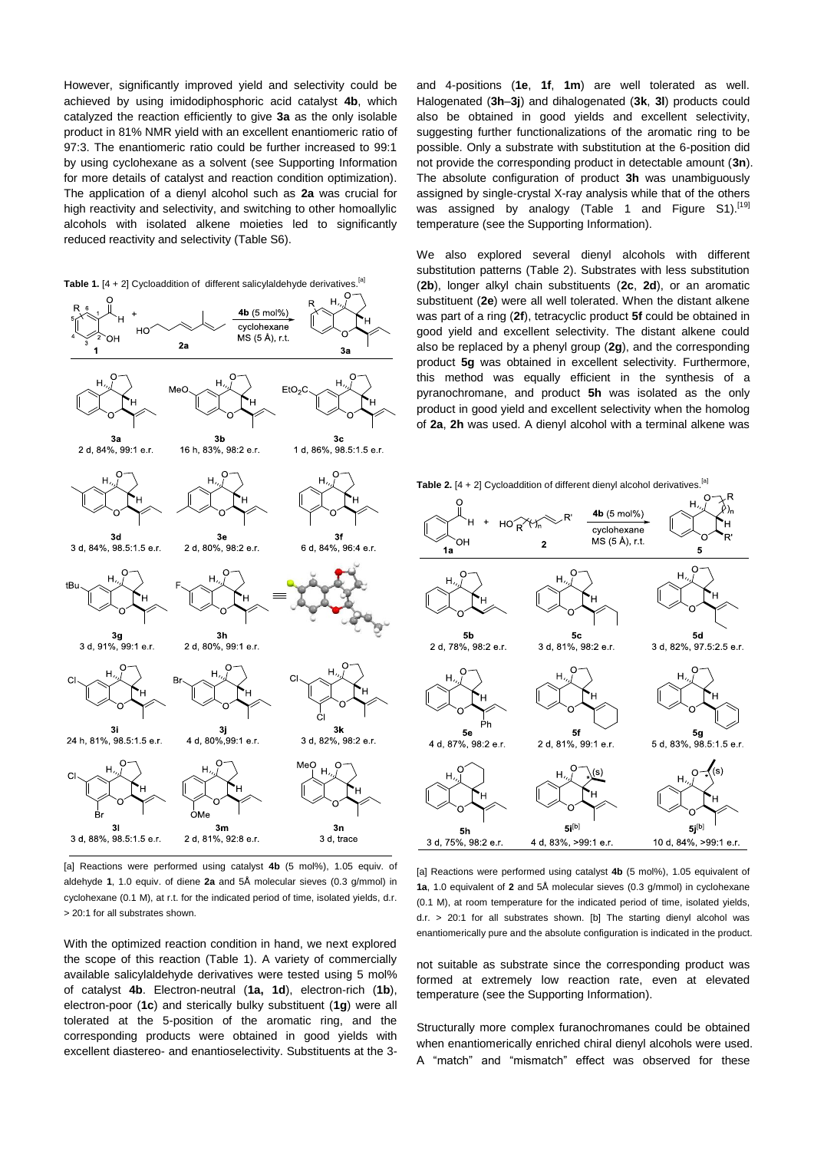However, significantly improved yield and selectivity could be achieved by using imidodiphosphoric acid catalyst **4b**, which catalyzed the reaction efficiently to give **3a** as the only isolable product in 81% NMR yield with an excellent enantiomeric ratio of 97:3. The enantiomeric ratio could be further increased to 99:1 by using cyclohexane as a solvent (see Supporting Information for more details of catalyst and reaction condition optimization). The application of a dienyl alcohol such as **2a** was crucial for high reactivity and selectivity, and switching to other homoallylic alcohols with isolated alkene moieties led to significantly reduced reactivity and selectivity (Table S6).

**Table 1.** [4 + 2] Cycloaddition of different salicylaldehyde derivatives.<sup>[a]</sup>



[a] Reactions were performed using catalyst **4b** (5 mol%), 1.05 equiv. of aldehyde **1**, 1.0 equiv. of diene **2a** and 5Å molecular sieves (0.3 g/mmol) in cyclohexane (0.1 M), at r.t. for the indicated period of time, isolated yields, d.r. > 20:1 for all substrates shown.

With the optimized reaction condition in hand, we next explored the scope of this reaction (Table 1). A variety of commercially available salicylaldehyde derivatives were tested using 5 mol% of catalyst **4b**. Electron-neutral (**1a, 1d**), electron-rich (**1b**), electron-poor (**1c**) and sterically bulky substituent (**1g**) were all tolerated at the 5-position of the aromatic ring, and the corresponding products were obtained in good yields with excellent diastereo- and enantioselectivity. Substituents at the 3and 4-positions (**1e**, **1f**, **1m**) are well tolerated as well. Halogenated (**3h**–**3j**) and dihalogenated (**3k**, **3l**) products could also be obtained in good yields and excellent selectivity, suggesting further functionalizations of the aromatic ring to be possible. Only a substrate with substitution at the 6-position did not provide the corresponding product in detectable amount (**3n**). The absolute configuration of product **3h** was unambiguously assigned by single-crystal X-ray analysis while that of the others was assigned by analogy (Table 1 and Figure S1).<sup>[19]</sup> temperature (see the Supporting Information).

We also explored several dienyl alcohols with different substitution patterns (Table 2). Substrates with less substitution (**2b**), longer alkyl chain substituents (**2c**, **2d**), or an aromatic substituent (**2e**) were all well tolerated. When the distant alkene was part of a ring (**2f**), tetracyclic product **5f** could be obtained in good yield and excellent selectivity. The distant alkene could also be replaced by a phenyl group (**2g**), and the corresponding product **5g** was obtained in excellent selectivity. Furthermore, this method was equally efficient in the synthesis of a pyranochromane, and product **5h** was isolated as the only product in good yield and excellent selectivity when the homolog of **2a**, **2h** was used. A dienyl alcohol with a terminal alkene was



[a] Reactions were performed using catalyst **4b** (5 mol%), 1.05 equivalent of **1a**, 1.0 equivalent of **2** and 5Å molecular sieves (0.3 g/mmol) in cyclohexane (0.1 M), at room temperature for the indicated period of time, isolated yields, d.r. > 20:1 for all substrates shown. [b] The starting dienyl alcohol was enantiomerically pure and the absolute configuration is indicated in the product.

not suitable as substrate since the corresponding product was formed at extremely low reaction rate, even at elevated temperature (see the Supporting Information).

Structurally more complex furanochromanes could be obtained when enantiomerically enriched chiral dienyl alcohols were used. A "match" and "mismatch" effect was observed for these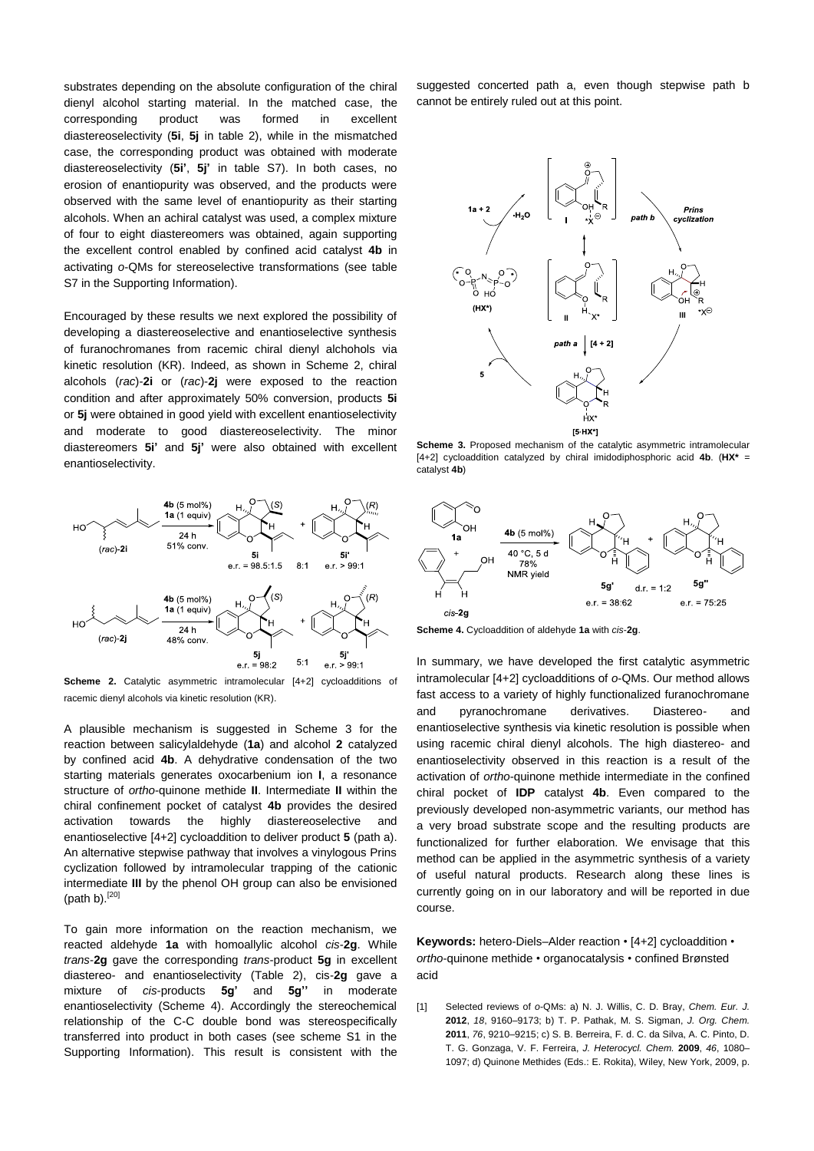substrates depending on the absolute configuration of the chiral dienyl alcohol starting material. In the matched case, the corresponding product was formed in excellent diastereoselectivity (**5i**, **5j** in table 2), while in the mismatched case, the corresponding product was obtained with moderate diastereoselectivity (**5i'**, **5j'** in table S7). In both cases, no erosion of enantiopurity was observed, and the products were observed with the same level of enantiopurity as their starting alcohols. When an achiral catalyst was used, a complex mixture of four to eight diastereomers was obtained, again supporting the excellent control enabled by confined acid catalyst **4b** in activating *o*-QMs for stereoselective transformations (see table S7 in the Supporting Information).

Encouraged by these results we next explored the possibility of developing a diastereoselective and enantioselective synthesis of furanochromanes from racemic chiral dienyl alchohols via kinetic resolution (KR). Indeed, as shown in Scheme 2, chiral alcohols (*rac*)-**2i** or (*rac*)-**2j** were exposed to the reaction condition and after approximately 50% conversion, products **5i** or **5j** were obtained in good yield with excellent enantioselectivity and moderate to good diastereoselectivity. The minor diastereomers **5i'** and **5j'** were also obtained with excellent enantioselectivity.



**Scheme 2.** Catalytic asymmetric intramolecular [4+2] cycloadditions of racemic dienyl alcohols via kinetic resolution (KR).

A plausible mechanism is suggested in Scheme 3 for the reaction between salicylaldehyde (**1a**) and alcohol **2** catalyzed by confined acid **4b**. A dehydrative condensation of the two starting materials generates oxocarbenium ion **I**, a resonance structure of *ortho*-quinone methide **II**. Intermediate **II** within the chiral confinement pocket of catalyst **4b** provides the desired activation towards the highly diastereoselective and enantioselective [4+2] cycloaddition to deliver product **5** (path a). An alternative stepwise pathway that involves a vinylogous Prins cyclization followed by intramolecular trapping of the cationic intermediate **III** by the phenol OH group can also be envisioned (path b). $[20]$ 

To gain more information on the reaction mechanism, we reacted aldehyde **1a** with homoallylic alcohol *cis*-**2g**. While *trans*-**2g** gave the corresponding *trans*-product **5g** in excellent diastereo- and enantioselectivity (Table 2), cis-**2g** gave a mixture of *cis*-products **5g'** and **5g''** in moderate enantioselectivity (Scheme 4). Accordingly the stereochemical relationship of the C-C double bond was stereospecifically transferred into product in both cases (see scheme S1 in the Supporting Information). This result is consistent with the suggested concerted path a, even though stepwise path b cannot be entirely ruled out at this point.



**Scheme 3.** Proposed mechanism of the catalytic asymmetric intramolecular [4+2] cycloaddition catalyzed by chiral imidodiphosphoric acid **4b**. (**HX\*** = catalyst **4b**)



**Scheme 4.** Cycloaddition of aldehyde **1a** with *cis*-**2g**.

In summary, we have developed the first catalytic asymmetric intramolecular [4+2] cycloadditions of *o*-QMs. Our method allows fast access to a variety of highly functionalized furanochromane and pyranochromane derivatives. Diastereo- and enantioselective synthesis via kinetic resolution is possible when using racemic chiral dienyl alcohols. The high diastereo- and enantioselectivity observed in this reaction is a result of the activation of *ortho*-quinone methide intermediate in the confined chiral pocket of **IDP** catalyst **4b**. Even compared to the previously developed non-asymmetric variants, our method has a very broad substrate scope and the resulting products are functionalized for further elaboration. We envisage that this method can be applied in the asymmetric synthesis of a variety of useful natural products. Research along these lines is currently going on in our laboratory and will be reported in due course.

**Keywords:** hetero-Diels–Alder reaction • [4+2] cycloaddition • *ortho*-quinone methide • organocatalysis • confined Brønsted acid

[1] Selected reviews of *o*-QMs: a) N. J. Willis, C. D. Bray, *Chem. Eur. J.* **2012**, *18*, 9160–9173; b) T. P. Pathak, M. S. Sigman, *J. Org. Chem.* **2011**, *76*, 9210–9215; c) S. B. Berreira, F. d. C. da Silva, A. C. Pinto, D. T. G. Gonzaga, V. F. Ferreira, *J. Heterocycl. Chem.* **2009**, *46*, 1080– 1097; d) Quinone Methides (Eds.: E. Rokita), Wiley, New York, 2009, p.